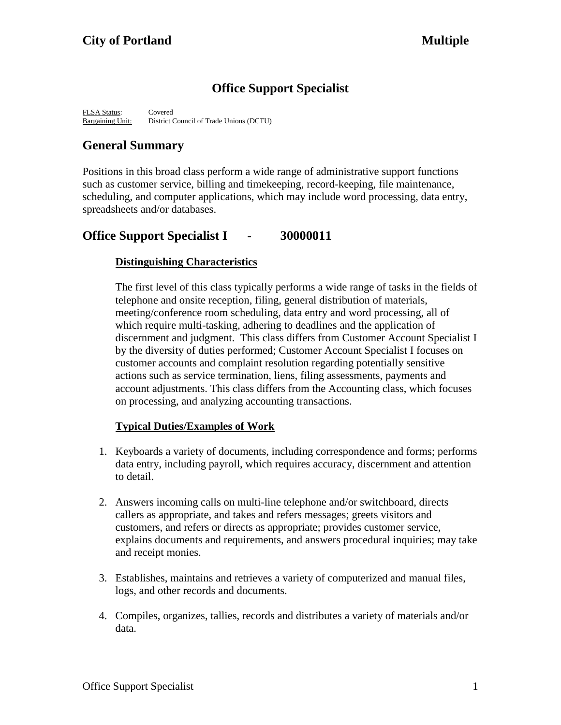# **Office Support Specialist**

FLSA Status: Covered Bargaining Unit: District Council of Trade Unions (DCTU)

# **General Summary**

Positions in this broad class perform a wide range of administrative support functions such as customer service, billing and timekeeping, record-keeping, file maintenance, scheduling, and computer applications, which may include word processing, data entry, spreadsheets and/or databases.

# **Office Support Specialist I - 30000011**

## **Distinguishing Characteristics**

The first level of this class typically performs a wide range of tasks in the fields of telephone and onsite reception, filing, general distribution of materials, meeting/conference room scheduling, data entry and word processing, all of which require multi-tasking, adhering to deadlines and the application of discernment and judgment. This class differs from Customer Account Specialist I by the diversity of duties performed; Customer Account Specialist I focuses on customer accounts and complaint resolution regarding potentially sensitive actions such as service termination, liens, filing assessments, payments and account adjustments. This class differs from the Accounting class, which focuses on processing, and analyzing accounting transactions.

## **Typical Duties/Examples of Work**

- 1. Keyboards a variety of documents, including correspondence and forms; performs data entry, including payroll, which requires accuracy, discernment and attention to detail.
- 2. Answers incoming calls on multi-line telephone and/or switchboard, directs callers as appropriate, and takes and refers messages; greets visitors and customers, and refers or directs as appropriate; provides customer service, explains documents and requirements, and answers procedural inquiries; may take and receipt monies.
- 3. Establishes, maintains and retrieves a variety of computerized and manual files, logs, and other records and documents.
- 4. Compiles, organizes, tallies, records and distributes a variety of materials and/or data.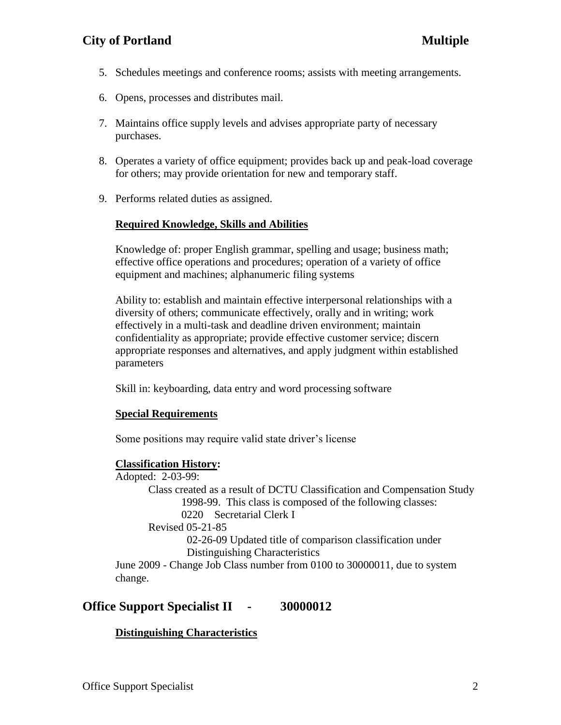## **City of Portland Multiple**

- 5. Schedules meetings and conference rooms; assists with meeting arrangements.
- 6. Opens, processes and distributes mail.
- 7. Maintains office supply levels and advises appropriate party of necessary purchases.
- 8. Operates a variety of office equipment; provides back up and peak-load coverage for others; may provide orientation for new and temporary staff.
- 9. Performs related duties as assigned.

#### **Required Knowledge, Skills and Abilities**

Knowledge of: proper English grammar, spelling and usage; business math; effective office operations and procedures; operation of a variety of office equipment and machines; alphanumeric filing systems

Ability to: establish and maintain effective interpersonal relationships with a diversity of others; communicate effectively, orally and in writing; work effectively in a multi-task and deadline driven environment; maintain confidentiality as appropriate; provide effective customer service; discern appropriate responses and alternatives, and apply judgment within established parameters

Skill in: keyboarding, data entry and word processing software

#### **Special Requirements**

Some positions may require valid state driver's license

#### **Classification History:**

Adopted: 2-03-99: Class created as a result of DCTU Classification and Compensation Study 1998-99. This class is composed of the following classes: 0220 Secretarial Clerk I Revised 05-21-85 02-26-09 Updated title of comparison classification under Distinguishing Characteristics June 2009 - Change Job Class number from 0100 to 30000011, due to system change.

## **Office Support Specialist II - 30000012**

### **Distinguishing Characteristics**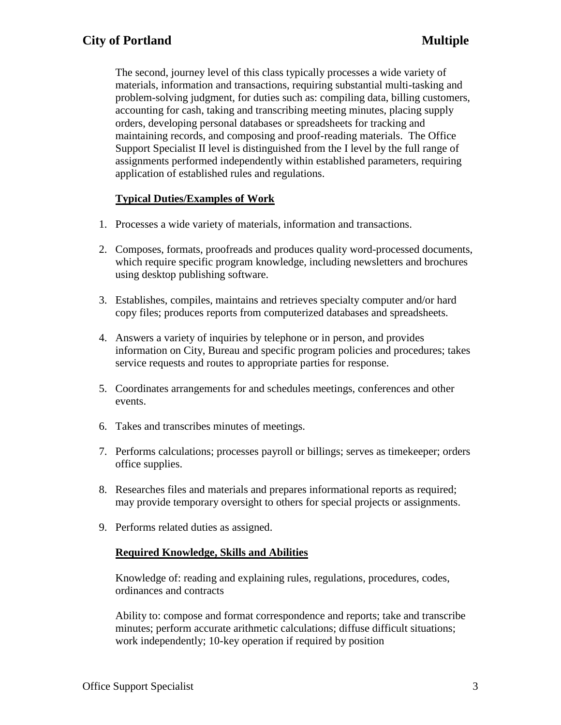The second, journey level of this class typically processes a wide variety of materials, information and transactions, requiring substantial multi-tasking and problem-solving judgment, for duties such as: compiling data, billing customers, accounting for cash, taking and transcribing meeting minutes, placing supply orders, developing personal databases or spreadsheets for tracking and maintaining records, and composing and proof-reading materials. The Office Support Specialist II level is distinguished from the I level by the full range of assignments performed independently within established parameters, requiring application of established rules and regulations.

## **Typical Duties/Examples of Work**

- 1. Processes a wide variety of materials, information and transactions.
- 2. Composes, formats, proofreads and produces quality word-processed documents, which require specific program knowledge, including newsletters and brochures using desktop publishing software.
- 3. Establishes, compiles, maintains and retrieves specialty computer and/or hard copy files; produces reports from computerized databases and spreadsheets.
- 4. Answers a variety of inquiries by telephone or in person, and provides information on City, Bureau and specific program policies and procedures; takes service requests and routes to appropriate parties for response.
- 5. Coordinates arrangements for and schedules meetings, conferences and other events.
- 6. Takes and transcribes minutes of meetings.
- 7. Performs calculations; processes payroll or billings; serves as timekeeper; orders office supplies.
- 8. Researches files and materials and prepares informational reports as required; may provide temporary oversight to others for special projects or assignments.
- 9. Performs related duties as assigned.

### **Required Knowledge, Skills and Abilities**

Knowledge of: reading and explaining rules, regulations, procedures, codes, ordinances and contracts

Ability to: compose and format correspondence and reports; take and transcribe minutes; perform accurate arithmetic calculations; diffuse difficult situations; work independently; 10-key operation if required by position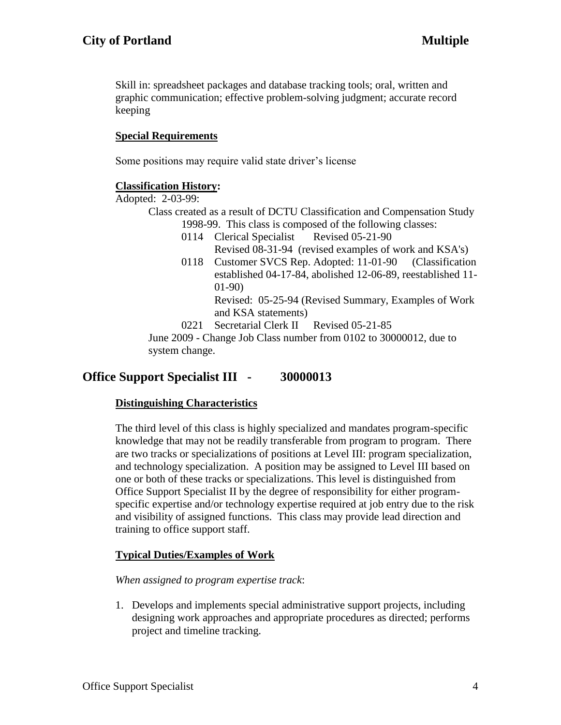Skill in: spreadsheet packages and database tracking tools; oral, written and graphic communication; effective problem-solving judgment; accurate record keeping

### **Special Requirements**

Some positions may require valid state driver's license

### **Classification History:**

Adopted: 2-03-99:

Class created as a result of DCTU Classification and Compensation Study 1998-99. This class is composed of the following classes:

- 0114 Clerical Specialist Revised 05-21-90
	- Revised 08-31-94 (revised examples of work and KSA's)
- 0118 Customer SVCS Rep. Adopted: 11-01-90 (Classification established 04-17-84, abolished 12-06-89, reestablished 11- 01-90)

Revised: 05-25-94 (Revised Summary, Examples of Work and KSA statements)

0221 Secretarial Clerk II Revised 05-21-85 June 2009 - Change Job Class number from 0102 to 30000012, due to system change.

## **Office Support Specialist III - 30000013**

### **Distinguishing Characteristics**

The third level of this class is highly specialized and mandates program-specific knowledge that may not be readily transferable from program to program. There are two tracks or specializations of positions at Level III: program specialization, and technology specialization. A position may be assigned to Level III based on one or both of these tracks or specializations. This level is distinguished from Office Support Specialist II by the degree of responsibility for either programspecific expertise and/or technology expertise required at job entry due to the risk and visibility of assigned functions. This class may provide lead direction and training to office support staff.

## **Typical Duties/Examples of Work**

*When assigned to program expertise track*:

1. Develops and implements special administrative support projects, including designing work approaches and appropriate procedures as directed; performs project and timeline tracking.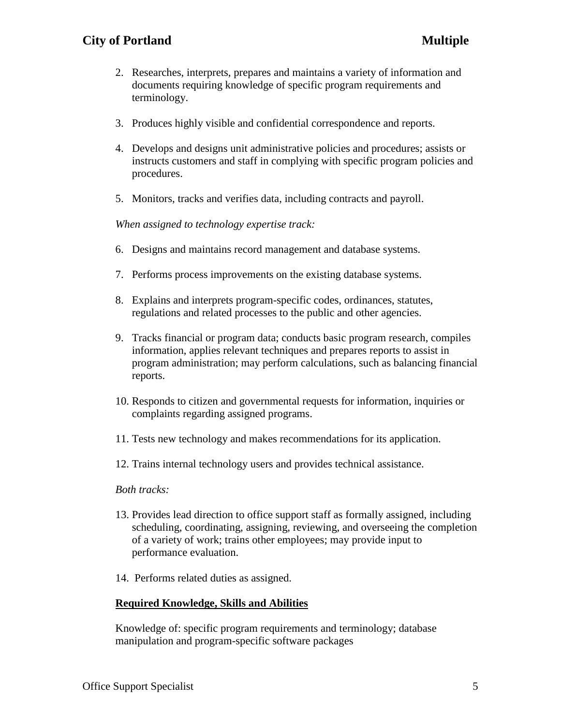- 2. Researches, interprets, prepares and maintains a variety of information and documents requiring knowledge of specific program requirements and terminology.
- 3. Produces highly visible and confidential correspondence and reports.
- 4. Develops and designs unit administrative policies and procedures; assists or instructs customers and staff in complying with specific program policies and procedures.
- 5. Monitors, tracks and verifies data, including contracts and payroll.

*When assigned to technology expertise track:*

- 6. Designs and maintains record management and database systems.
- 7. Performs process improvements on the existing database systems.
- 8. Explains and interprets program-specific codes, ordinances, statutes, regulations and related processes to the public and other agencies.
- 9. Tracks financial or program data; conducts basic program research, compiles information, applies relevant techniques and prepares reports to assist in program administration; may perform calculations, such as balancing financial reports.
- 10. Responds to citizen and governmental requests for information, inquiries or complaints regarding assigned programs.
- 11. Tests new technology and makes recommendations for its application.
- 12. Trains internal technology users and provides technical assistance.

### *Both tracks:*

- 13. Provides lead direction to office support staff as formally assigned, including scheduling, coordinating, assigning, reviewing, and overseeing the completion of a variety of work; trains other employees; may provide input to performance evaluation.
- 14. Performs related duties as assigned.

## **Required Knowledge, Skills and Abilities**

Knowledge of: specific program requirements and terminology; database manipulation and program-specific software packages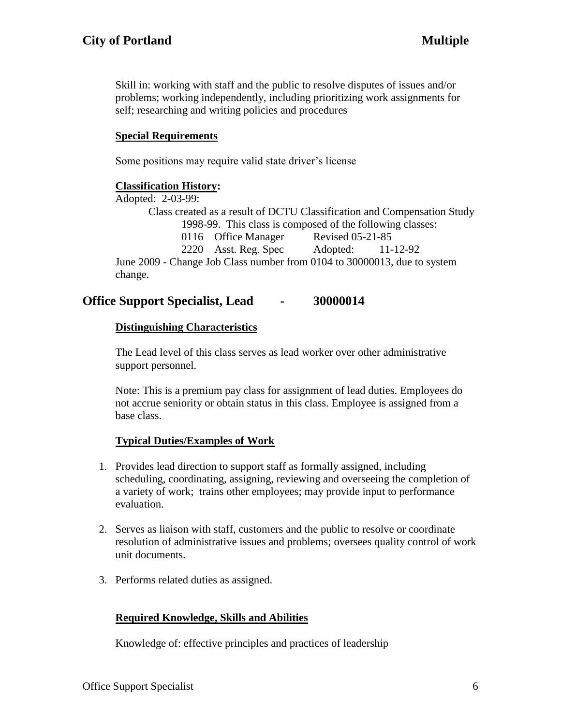Skill in: working with staff and the public to resolve disputes of issues and/or problems; working independently, including prioritizing work assignments for self; researching and writing policies and procedures

### **Special Requirements**

Some positions may require valid state driver's license

### **Classification History:**

Adopted: 2-03-99:

Class created as a result of DCTU Classification and Compensation Study 1998-99. This class is composed of the following classes: 0116 Office Manager Revised 05-21-85 2220 Asst. Reg. Spec Adopted: 11-12-92 June 2009 - Change Job Class number from 0104 to 30000013, due to system change.

## **Office Support Specialist, Lead - 30000014**

### **Distinguishing Characteristics**

The Lead level of this class serves as lead worker over other administrative support personnel.

Note: This is a premium pay class for assignment of lead duties. Employees do not accrue seniority or obtain status in this class. Employee is assigned from a base class.

### **Typical Duties/Examples of Work**

- 1. Provides lead direction to support staff as formally assigned, including scheduling, coordinating, assigning, reviewing and overseeing the completion of a variety of work; trains other employees; may provide input to performance evaluation.
- 2. Serves as liaison with staff, customers and the public to resolve or coordinate resolution of administrative issues and problems; oversees quality control of work unit documents.
- 3. Performs related duties as assigned.

## **Required Knowledge, Skills and Abilities**

Knowledge of: effective principles and practices of leadership